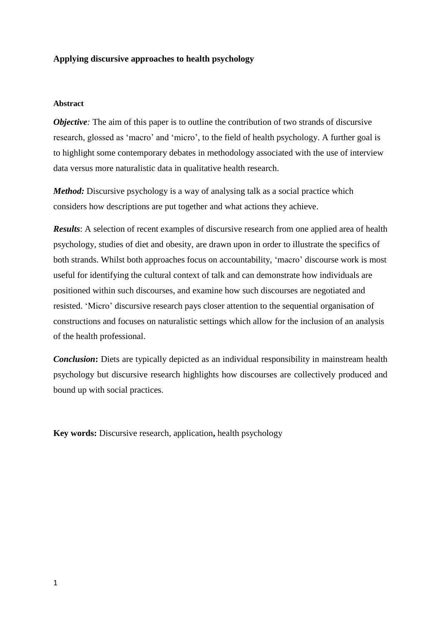## **Applying discursive approaches to health psychology**

### **Abstract**

*Objective*: The aim of this paper is to outline the contribution of two strands of discursive research, glossed as 'macro' and 'micro', to the field of health psychology. A further goal is to highlight some contemporary debates in methodology associated with the use of interview data versus more naturalistic data in qualitative health research.

*Method:* Discursive psychology is a way of analysing talk as a social practice which considers how descriptions are put together and what actions they achieve.

*Results*: A selection of recent examples of discursive research from one applied area of health psychology, studies of diet and obesity, are drawn upon in order to illustrate the specifics of both strands. Whilst both approaches focus on accountability, 'macro' discourse work is most useful for identifying the cultural context of talk and can demonstrate how individuals are positioned within such discourses, and examine how such discourses are negotiated and resisted. 'Micro' discursive research pays closer attention to the sequential organisation of constructions and focuses on naturalistic settings which allow for the inclusion of an analysis of the health professional.

*Conclusion*: Diets are typically depicted as an individual responsibility in mainstream health psychology but discursive research highlights how discourses are collectively produced and bound up with social practices.

**Key words:** Discursive research, application**,** health psychology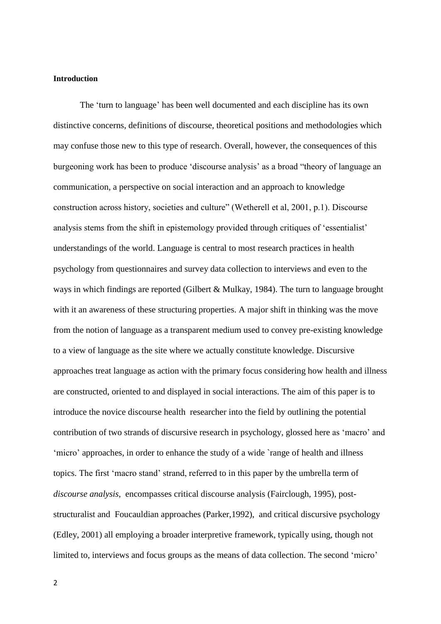### **Introduction**

The 'turn to language' has been well documented and each discipline has its own distinctive concerns, definitions of discourse, theoretical positions and methodologies which may confuse those new to this type of research. Overall, however, the consequences of this burgeoning work has been to produce 'discourse analysis' as a broad "theory of language an communication, a perspective on social interaction and an approach to knowledge construction across history, societies and culture" (Wetherell et al, 2001, p.1). Discourse analysis stems from the shift in epistemology provided through critiques of 'essentialist' understandings of the world. Language is central to most research practices in health psychology from questionnaires and survey data collection to interviews and even to the ways in which findings are reported (Gilbert & Mulkay, 1984). The turn to language brought with it an awareness of these structuring properties. A major shift in thinking was the move from the notion of language as a transparent medium used to convey pre-existing knowledge to a view of language as the site where we actually constitute knowledge. Discursive approaches treat language as action with the primary focus considering how health and illness are constructed, oriented to and displayed in social interactions. The aim of this paper is to introduce the novice discourse health researcher into the field by outlining the potential contribution of two strands of discursive research in psychology, glossed here as 'macro' and 'micro' approaches, in order to enhance the study of a wide `range of health and illness topics. The first 'macro stand' strand, referred to in this paper by the umbrella term of *discourse analysis*, encompasses critical discourse analysis (Fairclough, 1995), poststructuralist and Foucauldian approaches (Parker,1992), and critical discursive psychology (Edley, 2001) all employing a broader interpretive framework, typically using, though not limited to, interviews and focus groups as the means of data collection. The second 'micro'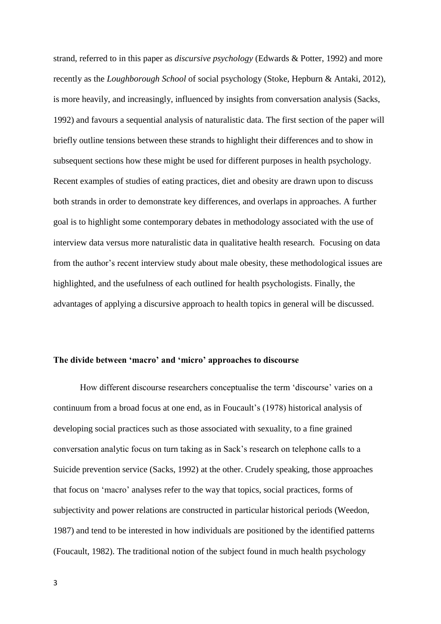strand, referred to in this paper as *discursive psychology* (Edwards & Potter, 1992) and more recently as the *Loughborough School* of social psychology (Stoke, Hepburn & Antaki, 2012), is more heavily, and increasingly, influenced by insights from conversation analysis (Sacks, 1992) and favours a sequential analysis of naturalistic data. The first section of the paper will briefly outline tensions between these strands to highlight their differences and to show in subsequent sections how these might be used for different purposes in health psychology. Recent examples of studies of eating practices, diet and obesity are drawn upon to discuss both strands in order to demonstrate key differences, and overlaps in approaches. A further goal is to highlight some contemporary debates in methodology associated with the use of interview data versus more naturalistic data in qualitative health research. Focusing on data from the author's recent interview study about male obesity, these methodological issues are highlighted, and the usefulness of each outlined for health psychologists. Finally, the advantages of applying a discursive approach to health topics in general will be discussed.

## **The divide between 'macro' and 'micro' approaches to discourse**

How different discourse researchers conceptualise the term 'discourse' varies on a continuum from a broad focus at one end, as in Foucault's (1978) historical analysis of developing social practices such as those associated with sexuality, to a fine grained conversation analytic focus on turn taking as in Sack's research on telephone calls to a Suicide prevention service (Sacks, 1992) at the other. Crudely speaking, those approaches that focus on 'macro' analyses refer to the way that topics, social practices, forms of subjectivity and power relations are constructed in particular historical periods (Weedon, 1987) and tend to be interested in how individuals are positioned by the identified patterns (Foucault, 1982). The traditional notion of the subject found in much health psychology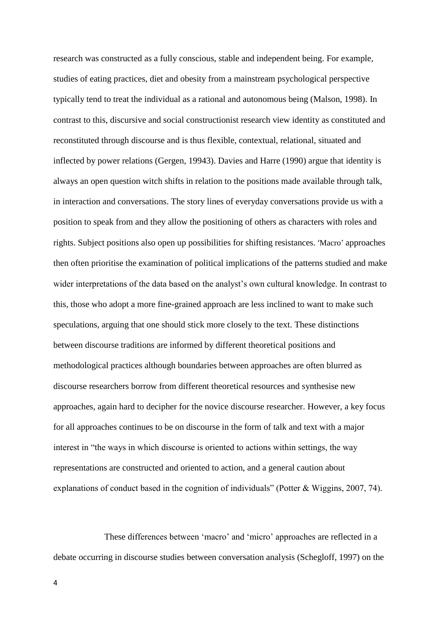research was constructed as a fully conscious, stable and independent being. For example, studies of eating practices, diet and obesity from a mainstream psychological perspective typically tend to treat the individual as a rational and autonomous being (Malson, 1998). In contrast to this, discursive and social constructionist research view identity as constituted and reconstituted through discourse and is thus flexible, contextual, relational, situated and inflected by power relations (Gergen, 19943). Davies and Harre (1990) argue that identity is always an open question witch shifts in relation to the positions made available through talk, in interaction and conversations. The story lines of everyday conversations provide us with a position to speak from and they allow the positioning of others as characters with roles and rights. Subject positions also open up possibilities for shifting resistances. 'Macro' approaches then often prioritise the examination of political implications of the patterns studied and make wider interpretations of the data based on the analyst's own cultural knowledge. In contrast to this, those who adopt a more fine-grained approach are less inclined to want to make such speculations, arguing that one should stick more closely to the text. These distinctions between discourse traditions are informed by different theoretical positions and methodological practices although boundaries between approaches are often blurred as discourse researchers borrow from different theoretical resources and synthesise new approaches, again hard to decipher for the novice discourse researcher. However, a key focus for all approaches continues to be on discourse in the form of talk and text with a major interest in "the ways in which discourse is oriented to actions within settings, the way representations are constructed and oriented to action, and a general caution about explanations of conduct based in the cognition of individuals" (Potter & Wiggins, 2007, 74).

These differences between 'macro' and 'micro' approaches are reflected in a debate occurring in discourse studies between conversation analysis (Schegloff, 1997) on the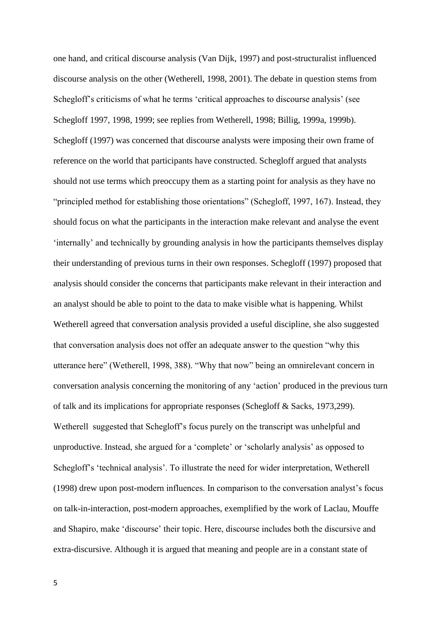one hand, and critical discourse analysis (Van Dijk, 1997) and post-structuralist influenced discourse analysis on the other (Wetherell, 1998, 2001). The debate in question stems from Schegloff's criticisms of what he terms 'critical approaches to discourse analysis' (see Schegloff 1997, 1998, 1999; see replies from Wetherell, 1998; Billig, 1999a, 1999b). Schegloff (1997) was concerned that discourse analysts were imposing their own frame of reference on the world that participants have constructed. Schegloff argued that analysts should not use terms which preoccupy them as a starting point for analysis as they have no "principled method for establishing those orientations" (Schegloff, 1997, 167). Instead, they should focus on what the participants in the interaction make relevant and analyse the event 'internally' and technically by grounding analysis in how the participants themselves display their understanding of previous turns in their own responses. Schegloff (1997) proposed that analysis should consider the concerns that participants make relevant in their interaction and an analyst should be able to point to the data to make visible what is happening. Whilst Wetherell agreed that conversation analysis provided a useful discipline, she also suggested that conversation analysis does not offer an adequate answer to the question "why this utterance here" (Wetherell, 1998, 388). "Why that now" being an omnirelevant concern in conversation analysis concerning the monitoring of any 'action' produced in the previous turn of talk and its implications for appropriate responses (Schegloff & Sacks, 1973,299). Wetherell suggested that Schegloff's focus purely on the transcript was unhelpful and unproductive. Instead, she argued for a 'complete' or 'scholarly analysis' as opposed to Schegloff's 'technical analysis'. To illustrate the need for wider interpretation, Wetherell (1998) drew upon post-modern influences. In comparison to the conversation analyst's focus on talk-in-interaction, post-modern approaches, exemplified by the work of Laclau, Mouffe and Shapiro, make 'discourse' their topic. Here, discourse includes both the discursive and extra-discursive. Although it is argued that meaning and people are in a constant state of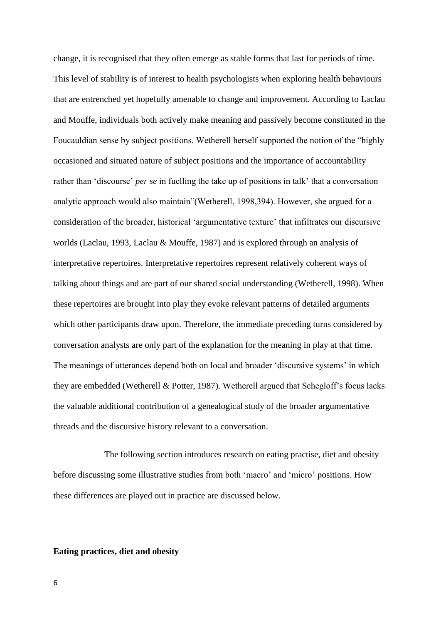change, it is recognised that they often emerge as stable forms that last for periods of time. This level of stability is of interest to health psychologists when exploring health behaviours that are entrenched yet hopefully amenable to change and improvement. According to Laclau and Mouffe, individuals both actively make meaning and passively become constituted in the Foucauldian sense by subject positions. Wetherell herself supported the notion of the "highly occasioned and situated nature of subject positions and the importance of accountability rather than 'discourse' *per se* in fuelling the take up of positions in talk' that a conversation analytic approach would also maintain"(Wetherell, 1998,394). However, she argued for a consideration of the broader, historical 'argumentative texture' that infiltrates our discursive worlds (Laclau, 1993, Laclau & Mouffe, 1987) and is explored through an analysis of interpretative repertoires. Interpretative repertoires represent relatively coherent ways of talking about things and are part of our shared social understanding (Wetherell, 1998). When these repertoires are brought into play they evoke relevant patterns of detailed arguments which other participants draw upon. Therefore, the immediate preceding turns considered by conversation analysts are only part of the explanation for the meaning in play at that time. The meanings of utterances depend both on local and broader 'discursive systems' in which they are embedded (Wetherell & Potter, 1987). Wetherell argued that Schegloff's focus lacks the valuable additional contribution of a genealogical study of the broader argumentative threads and the discursive history relevant to a conversation.

The following section introduces research on eating practise, diet and obesity before discussing some illustrative studies from both 'macro' and 'micro' positions. How these differences are played out in practice are discussed below.

## **Eating practices, diet and obesity**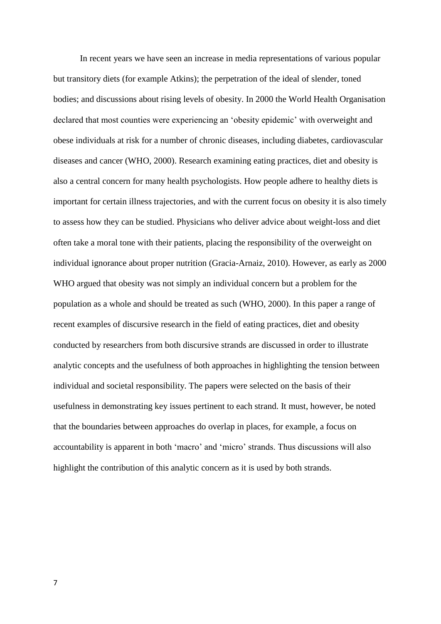In recent years we have seen an increase in media representations of various popular but transitory diets (for example Atkins); the perpetration of the ideal of slender, toned bodies; and discussions about rising levels of obesity. In 2000 the World Health Organisation declared that most counties were experiencing an 'obesity epidemic' with overweight and obese individuals at risk for a number of chronic diseases, including diabetes, cardiovascular diseases and cancer (WHO, 2000). Research examining eating practices, diet and obesity is also a central concern for many health psychologists. How people adhere to healthy diets is important for certain illness trajectories, and with the current focus on obesity it is also timely to assess how they can be studied. Physicians who deliver advice about weight-loss and diet often take a moral tone with their patients, placing the responsibility of the overweight on individual ignorance about proper nutrition (Gracia-Arnaiz, 2010). However, as early as 2000 WHO argued that obesity was not simply an individual concern but a problem for the population as a whole and should be treated as such (WHO, 2000). In this paper a range of recent examples of discursive research in the field of eating practices, diet and obesity conducted by researchers from both discursive strands are discussed in order to illustrate analytic concepts and the usefulness of both approaches in highlighting the tension between individual and societal responsibility. The papers were selected on the basis of their usefulness in demonstrating key issues pertinent to each strand. It must, however, be noted that the boundaries between approaches do overlap in places, for example, a focus on accountability is apparent in both 'macro' and 'micro' strands. Thus discussions will also highlight the contribution of this analytic concern as it is used by both strands.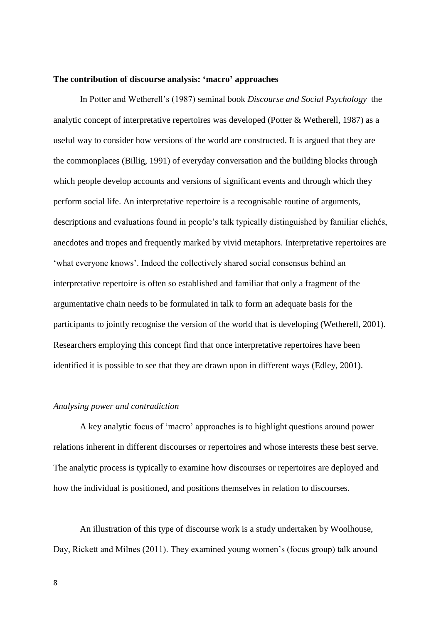#### **The contribution of discourse analysis: 'macro' approaches**

In Potter and Wetherell's (1987) seminal book *Discourse and Social Psychology* the analytic concept of interpretative repertoires was developed (Potter & Wetherell, 1987) as a useful way to consider how versions of the world are constructed. It is argued that they are the commonplaces (Billig, 1991) of everyday conversation and the building blocks through which people develop accounts and versions of significant events and through which they perform social life. An interpretative repertoire is a recognisable routine of arguments, descriptions and evaluations found in people's talk typically distinguished by familiar clichés, anecdotes and tropes and frequently marked by vivid metaphors. Interpretative repertoires are 'what everyone knows'. Indeed the collectively shared social consensus behind an interpretative repertoire is often so established and familiar that only a fragment of the argumentative chain needs to be formulated in talk to form an adequate basis for the participants to jointly recognise the version of the world that is developing (Wetherell, 2001). Researchers employing this concept find that once interpretative repertoires have been identified it is possible to see that they are drawn upon in different ways (Edley, 2001).

## *Analysing power and contradiction*

A key analytic focus of 'macro' approaches is to highlight questions around power relations inherent in different discourses or repertoires and whose interests these best serve. The analytic process is typically to examine how discourses or repertoires are deployed and how the individual is positioned, and positions themselves in relation to discourses.

An illustration of this type of discourse work is a study undertaken by Woolhouse, Day, Rickett and Milnes (2011). They examined young women's (focus group) talk around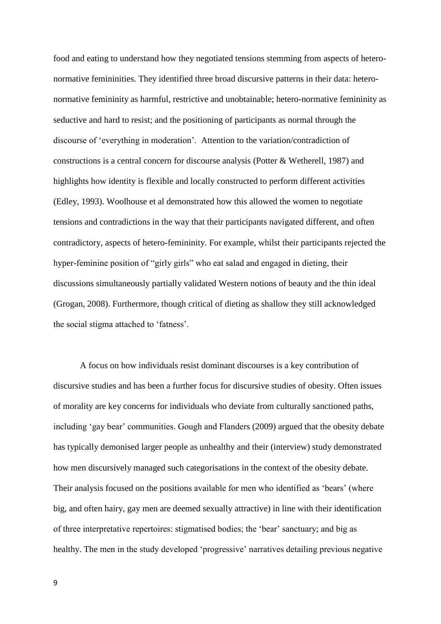food and eating to understand how they negotiated tensions stemming from aspects of heteronormative femininities. They identified three broad discursive patterns in their data: heteronormative femininity as harmful, restrictive and unobtainable; hetero-normative femininity as seductive and hard to resist; and the positioning of participants as normal through the discourse of 'everything in moderation'. Attention to the variation/contradiction of constructions is a central concern for discourse analysis (Potter & Wetherell, 1987) and highlights how identity is flexible and locally constructed to perform different activities (Edley, 1993). Woolhouse et al demonstrated how this allowed the women to negotiate tensions and contradictions in the way that their participants navigated different, and often contradictory, aspects of hetero-femininity. For example, whilst their participants rejected the hyper-feminine position of "girly girls" who eat salad and engaged in dieting, their discussions simultaneously partially validated Western notions of beauty and the thin ideal (Grogan, 2008). Furthermore, though critical of dieting as shallow they still acknowledged the social stigma attached to 'fatness'.

A focus on how individuals resist dominant discourses is a key contribution of discursive studies and has been a further focus for discursive studies of obesity. Often issues of morality are key concerns for individuals who deviate from culturally sanctioned paths, including 'gay bear' communities. Gough and Flanders (2009) argued that the obesity debate has typically demonised larger people as unhealthy and their (interview) study demonstrated how men discursively managed such categorisations in the context of the obesity debate. Their analysis focused on the positions available for men who identified as 'bears' (where big, and often hairy, gay men are deemed sexually attractive) in line with their identification of three interpretative repertoires: stigmatised bodies; the 'bear' sanctuary; and big as healthy. The men in the study developed 'progressive' narratives detailing previous negative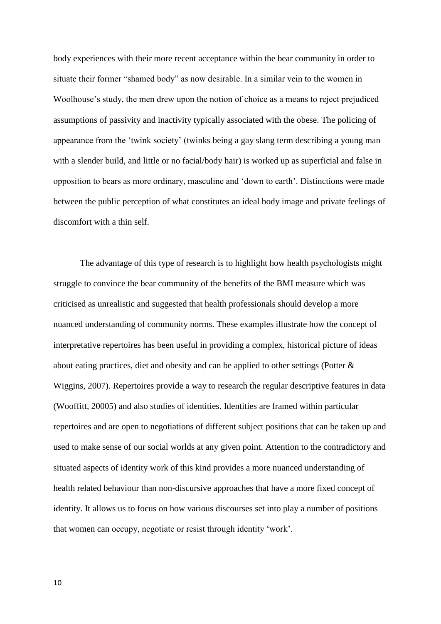body experiences with their more recent acceptance within the bear community in order to situate their former "shamed body" as now desirable. In a similar vein to the women in Woolhouse's study, the men drew upon the notion of choice as a means to reject prejudiced assumptions of passivity and inactivity typically associated with the obese. The policing of appearance from the 'twink society' (twinks being a gay slang term describing a young man with a slender build, and little or no facial/body hair) is worked up as superficial and false in opposition to bears as more ordinary, masculine and 'down to earth'. Distinctions were made between the public perception of what constitutes an ideal body image and private feelings of discomfort with a thin self.

The advantage of this type of research is to highlight how health psychologists might struggle to convince the bear community of the benefits of the BMI measure which was criticised as unrealistic and suggested that health professionals should develop a more nuanced understanding of community norms. These examples illustrate how the concept of interpretative repertoires has been useful in providing a complex, historical picture of ideas about eating practices, diet and obesity and can be applied to other settings (Potter & Wiggins, 2007). Repertoires provide a way to research the regular descriptive features in data (Wooffitt, 20005) and also studies of identities. Identities are framed within particular repertoires and are open to negotiations of different subject positions that can be taken up and used to make sense of our social worlds at any given point. Attention to the contradictory and situated aspects of identity work of this kind provides a more nuanced understanding of health related behaviour than non-discursive approaches that have a more fixed concept of identity. It allows us to focus on how various discourses set into play a number of positions that women can occupy, negotiate or resist through identity 'work'.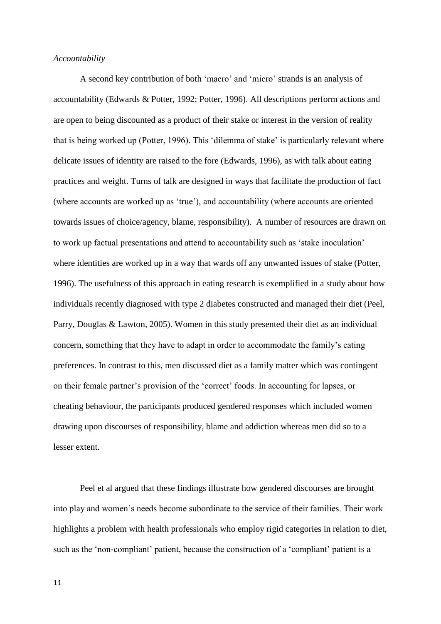#### *Accountability*

A second key contribution of both 'macro' and 'micro' strands is an analysis of accountability (Edwards & Potter, 1992; Potter, 1996). All descriptions perform actions and are open to being discounted as a product of their stake or interest in the version of reality that is being worked up (Potter, 1996). This 'dilemma of stake' is particularly relevant where delicate issues of identity are raised to the fore (Edwards, 1996), as with talk about eating practices and weight. Turns of talk are designed in ways that facilitate the production of fact (where accounts are worked up as 'true'), and accountability (where accounts are oriented towards issues of choice/agency, blame, responsibility). A number of resources are drawn on to work up factual presentations and attend to accountability such as 'stake inoculation' where identities are worked up in a way that wards off any unwanted issues of stake (Potter, 1996). The usefulness of this approach in eating research is exemplified in a study about how individuals recently diagnosed with type 2 diabetes constructed and managed their diet (Peel, Parry, Douglas & Lawton, 2005). Women in this study presented their diet as an individual concern, something that they have to adapt in order to accommodate the family's eating preferences. In contrast to this, men discussed diet as a family matter which was contingent on their female partner's provision of the 'correct' foods. In accounting for lapses, or cheating behaviour, the participants produced gendered responses which included women drawing upon discourses of responsibility, blame and addiction whereas men did so to a lesser extent.

Peel et al argued that these findings illustrate how gendered discourses are brought into play and women's needs become subordinate to the service of their families. Their work highlights a problem with health professionals who employ rigid categories in relation to diet, such as the 'non-compliant' patient, because the construction of a 'compliant' patient is a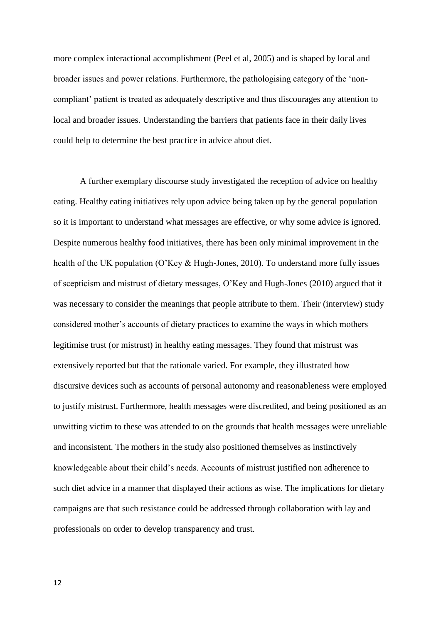more complex interactional accomplishment (Peel et al, 2005) and is shaped by local and broader issues and power relations. Furthermore, the pathologising category of the 'noncompliant' patient is treated as adequately descriptive and thus discourages any attention to local and broader issues. Understanding the barriers that patients face in their daily lives could help to determine the best practice in advice about diet.

A further exemplary discourse study investigated the reception of advice on healthy eating. Healthy eating initiatives rely upon advice being taken up by the general population so it is important to understand what messages are effective, or why some advice is ignored. Despite numerous healthy food initiatives, there has been only minimal improvement in the health of the UK population (O'Key & Hugh-Jones, 2010). To understand more fully issues of scepticism and mistrust of dietary messages, O'Key and Hugh-Jones (2010) argued that it was necessary to consider the meanings that people attribute to them. Their (interview) study considered mother's accounts of dietary practices to examine the ways in which mothers legitimise trust (or mistrust) in healthy eating messages. They found that mistrust was extensively reported but that the rationale varied. For example, they illustrated how discursive devices such as accounts of personal autonomy and reasonableness were employed to justify mistrust. Furthermore, health messages were discredited, and being positioned as an unwitting victim to these was attended to on the grounds that health messages were unreliable and inconsistent. The mothers in the study also positioned themselves as instinctively knowledgeable about their child's needs. Accounts of mistrust justified non adherence to such diet advice in a manner that displayed their actions as wise. The implications for dietary campaigns are that such resistance could be addressed through collaboration with lay and professionals on order to develop transparency and trust.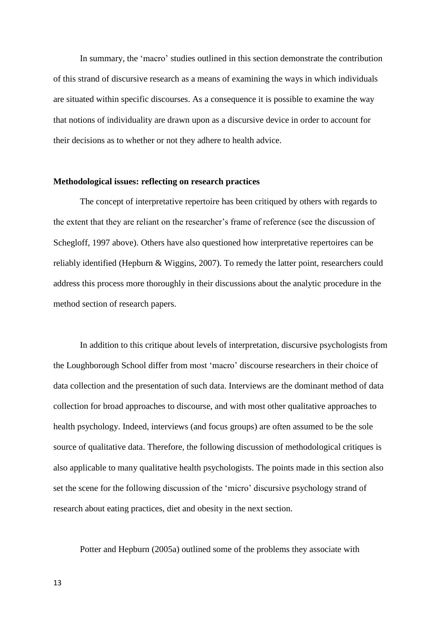In summary, the 'macro' studies outlined in this section demonstrate the contribution of this strand of discursive research as a means of examining the ways in which individuals are situated within specific discourses. As a consequence it is possible to examine the way that notions of individuality are drawn upon as a discursive device in order to account for their decisions as to whether or not they adhere to health advice.

## **Methodological issues: reflecting on research practices**

The concept of interpretative repertoire has been critiqued by others with regards to the extent that they are reliant on the researcher's frame of reference (see the discussion of Schegloff, 1997 above). Others have also questioned how interpretative repertoires can be reliably identified (Hepburn & Wiggins, 2007). To remedy the latter point, researchers could address this process more thoroughly in their discussions about the analytic procedure in the method section of research papers.

In addition to this critique about levels of interpretation, discursive psychologists from the Loughborough School differ from most 'macro' discourse researchers in their choice of data collection and the presentation of such data. Interviews are the dominant method of data collection for broad approaches to discourse, and with most other qualitative approaches to health psychology. Indeed, interviews (and focus groups) are often assumed to be the sole source of qualitative data. Therefore, the following discussion of methodological critiques is also applicable to many qualitative health psychologists. The points made in this section also set the scene for the following discussion of the 'micro' discursive psychology strand of research about eating practices, diet and obesity in the next section.

Potter and Hepburn (2005a) outlined some of the problems they associate with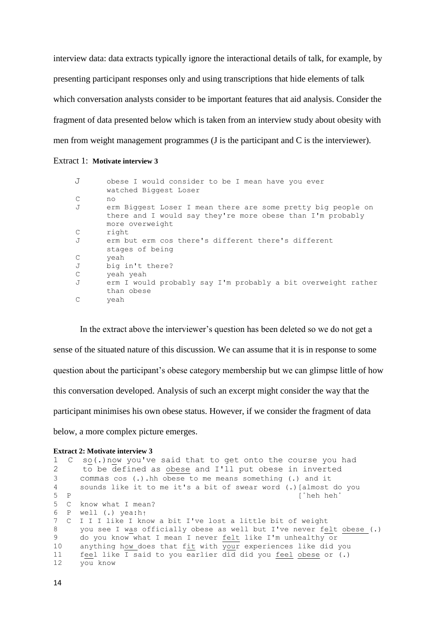interview data: data extracts typically ignore the interactional details of talk, for example, by presenting participant responses only and using transcriptions that hide elements of talk which conversation analysts consider to be important features that aid analysis. Consider the fragment of data presented below which is taken from an interview study about obesity with men from weight management programmes (J is the participant and C is the interviewer).

## Extract 1: **Motivate interview 3**

```
 J obese I would consider to be I mean have you ever
      watched Biggest Loser
C no
J erm Biggest Loser I mean there are some pretty big people on
      there and I would say they're more obese than I'm probably 
      more overweight
C right
J erm but erm cos there's different there's different 
      stages of being
C yeah
J big in't there?
C yeah yeah
J erm I would probably say I'm probably a bit overweight rather 
     than obese
C yeah
```
In the extract above the interviewer's question has been deleted so we do not get a sense of the situated nature of this discussion. We can assume that it is in response to some question about the participant's obese category membership but we can glimpse little of how this conversation developed. Analysis of such an excerpt might consider the way that the participant minimises his own obese status. However, if we consider the fragment of data below, a more complex picture emerges.

#### **Extract 2: Motivate interview 3**

|                 | 1 C so(.) now you've said that to get onto the course you had        |
|-----------------|----------------------------------------------------------------------|
| $\mathbf{2}$    | to be defined as obese and I'll put obese in inverted                |
| $3 -$           | commas $cos$ (.). hh obese to me means something (.) and it          |
| 4               | sounds like it to me it's a bit of swear word (.) [almost do you     |
| $5$ P           | f °heh heh °                                                         |
| $5 \quad C$     | know what I mean?                                                    |
|                 | 6 P well $(.)$ yea:ht                                                |
|                 | 7 C I I I like I know a bit I've lost a little bit of weight         |
| 8               | you see I was officially obese as well but I've never felt obese (.) |
| 9               | do you know what I mean I never felt like I'm unhealthy or           |
| 10 <sup>°</sup> | anything how does that fit with your experiences like did you        |
| 11              | feel like I said to you earlier did did you feel obese or (.)        |
| 12              | you know                                                             |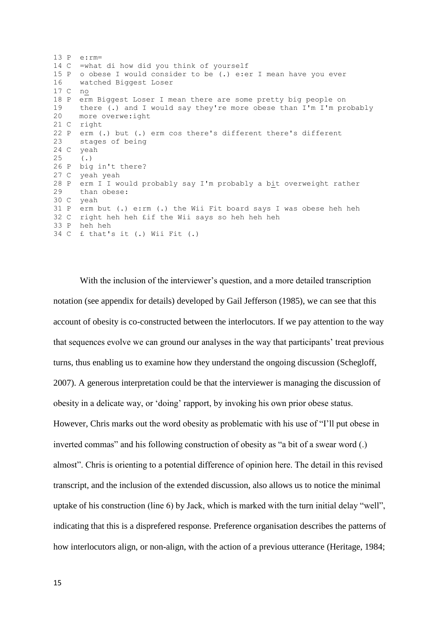13 P e:rm= 14 C =what di how did you think of yourself 15 P o obese I would consider to be (.) e:er I mean have you ever 16 watched Biggest Loser 17 C no 18 P erm Biggest Loser I mean there are some pretty big people on 19 there (.) and I would say they're more obese than I'm I'm probably 20 more overwe:ight 21 C right 22 P erm (.) but (.) erm cos there's different there's different 23 stages of being 24 C yeah 25 (.) 26 P big in't there? 27 C yeah yeah 28 P erm I I would probably say I'm probably a bit overweight rather 29 than obese: 30 C yeah 31 P erm but (.) e:rm (.) the Wii Fit board says I was obese heh heh 32 C right heh heh £if the Wii says so heh heh heh 33 P heh heh 34 C £ that's it (.) Wii Fit (.)

With the inclusion of the interviewer's question, and a more detailed transcription notation (see appendix for details) developed by Gail Jefferson (1985), we can see that this account of obesity is co-constructed between the interlocutors. If we pay attention to the way that sequences evolve we can ground our analyses in the way that participants' treat previous turns, thus enabling us to examine how they understand the ongoing discussion (Schegloff, 2007). A generous interpretation could be that the interviewer is managing the discussion of obesity in a delicate way, or 'doing' rapport, by invoking his own prior obese status. However, Chris marks out the word obesity as problematic with his use of "I'll put obese in inverted commas" and his following construction of obesity as "a bit of a swear word (.) almost". Chris is orienting to a potential difference of opinion here. The detail in this revised transcript, and the inclusion of the extended discussion, also allows us to notice the minimal uptake of his construction (line 6) by Jack, which is marked with the turn initial delay "well", indicating that this is a disprefered response. Preference organisation describes the patterns of how interlocutors align, or non-align, with the action of a previous utterance (Heritage, 1984;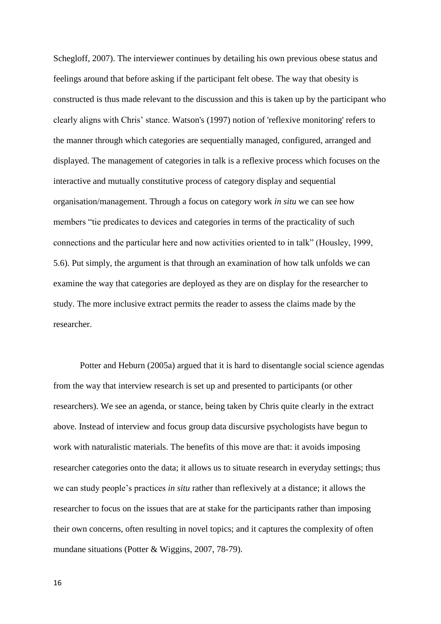Schegloff, 2007). The interviewer continues by detailing his own previous obese status and feelings around that before asking if the participant felt obese. The way that obesity is constructed is thus made relevant to the discussion and this is taken up by the participant who clearly aligns with Chris' stance. Watson's (1997) notion of 'reflexive monitoring' refers to the manner through which categories are sequentially managed, configured, arranged and displayed. The management of categories in talk is a reflexive process which focuses on the interactive and mutually constitutive process of category display and sequential organisation/management. Through a focus on category work *in situ* we can see how members "tie predicates to devices and categories in terms of the practicality of such connections and the particular here and now activities oriented to in talk" (Housley, 1999, 5.6). Put simply, the argument is that through an examination of how talk unfolds we can examine the way that categories are deployed as they are on display for the researcher to study. The more inclusive extract permits the reader to assess the claims made by the researcher.

Potter and Heburn (2005a) argued that it is hard to disentangle social science agendas from the way that interview research is set up and presented to participants (or other researchers). We see an agenda, or stance, being taken by Chris quite clearly in the extract above. Instead of interview and focus group data discursive psychologists have begun to work with naturalistic materials. The benefits of this move are that: it avoids imposing researcher categories onto the data; it allows us to situate research in everyday settings; thus we can study people's practices *in situ* rather than reflexively at a distance; it allows the researcher to focus on the issues that are at stake for the participants rather than imposing their own concerns, often resulting in novel topics; and it captures the complexity of often mundane situations (Potter & Wiggins, 2007, 78-79).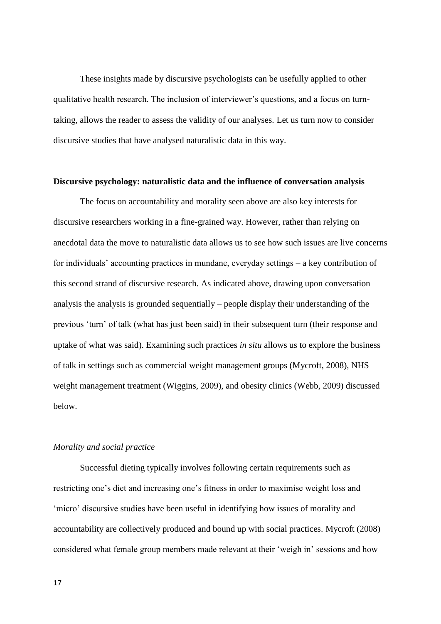These insights made by discursive psychologists can be usefully applied to other qualitative health research. The inclusion of interviewer's questions, and a focus on turntaking, allows the reader to assess the validity of our analyses. Let us turn now to consider discursive studies that have analysed naturalistic data in this way.

#### **Discursive psychology: naturalistic data and the influence of conversation analysis**

The focus on accountability and morality seen above are also key interests for discursive researchers working in a fine-grained way. However, rather than relying on anecdotal data the move to naturalistic data allows us to see how such issues are live concerns for individuals' accounting practices in mundane, everyday settings – a key contribution of this second strand of discursive research. As indicated above, drawing upon conversation analysis the analysis is grounded sequentially – people display their understanding of the previous 'turn' of talk (what has just been said) in their subsequent turn (their response and uptake of what was said). Examining such practices *in situ* allows us to explore the business of talk in settings such as commercial weight management groups (Mycroft, 2008), NHS weight management treatment (Wiggins, 2009), and obesity clinics (Webb, 2009) discussed below.

#### *Morality and social practice*

Successful dieting typically involves following certain requirements such as restricting one's diet and increasing one's fitness in order to maximise weight loss and 'micro' discursive studies have been useful in identifying how issues of morality and accountability are collectively produced and bound up with social practices. Mycroft (2008) considered what female group members made relevant at their 'weigh in' sessions and how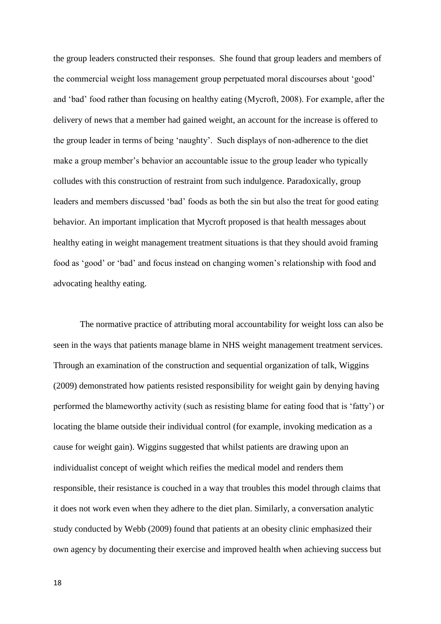the group leaders constructed their responses. She found that group leaders and members of the commercial weight loss management group perpetuated moral discourses about 'good' and 'bad' food rather than focusing on healthy eating (Mycroft, 2008). For example, after the delivery of news that a member had gained weight, an account for the increase is offered to the group leader in terms of being 'naughty'. Such displays of non-adherence to the diet make a group member's behavior an accountable issue to the group leader who typically colludes with this construction of restraint from such indulgence. Paradoxically, group leaders and members discussed 'bad' foods as both the sin but also the treat for good eating behavior. An important implication that Mycroft proposed is that health messages about healthy eating in weight management treatment situations is that they should avoid framing food as 'good' or 'bad' and focus instead on changing women's relationship with food and advocating healthy eating.

The normative practice of attributing moral accountability for weight loss can also be seen in the ways that patients manage blame in NHS weight management treatment services. Through an examination of the construction and sequential organization of talk, Wiggins (2009) demonstrated how patients resisted responsibility for weight gain by denying having performed the blameworthy activity (such as resisting blame for eating food that is 'fatty') or locating the blame outside their individual control (for example, invoking medication as a cause for weight gain). Wiggins suggested that whilst patients are drawing upon an individualist concept of weight which reifies the medical model and renders them responsible, their resistance is couched in a way that troubles this model through claims that it does not work even when they adhere to the diet plan. Similarly, a conversation analytic study conducted by Webb (2009) found that patients at an obesity clinic emphasized their own agency by documenting their exercise and improved health when achieving success but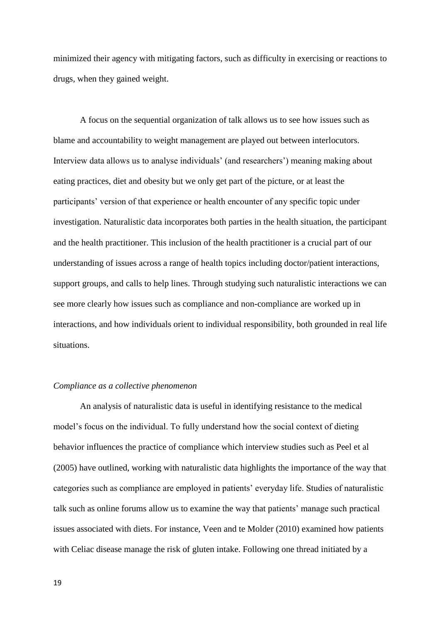minimized their agency with mitigating factors, such as difficulty in exercising or reactions to drugs, when they gained weight.

A focus on the sequential organization of talk allows us to see how issues such as blame and accountability to weight management are played out between interlocutors. Interview data allows us to analyse individuals' (and researchers') meaning making about eating practices, diet and obesity but we only get part of the picture, or at least the participants' version of that experience or health encounter of any specific topic under investigation. Naturalistic data incorporates both parties in the health situation, the participant and the health practitioner. This inclusion of the health practitioner is a crucial part of our understanding of issues across a range of health topics including doctor/patient interactions, support groups, and calls to help lines. Through studying such naturalistic interactions we can see more clearly how issues such as compliance and non-compliance are worked up in interactions, and how individuals orient to individual responsibility, both grounded in real life situations.

## *Compliance as a collective phenomenon*

An analysis of naturalistic data is useful in identifying resistance to the medical model's focus on the individual. To fully understand how the social context of dieting behavior influences the practice of compliance which interview studies such as Peel et al (2005) have outlined, working with naturalistic data highlights the importance of the way that categories such as compliance are employed in patients' everyday life. Studies of naturalistic talk such as online forums allow us to examine the way that patients' manage such practical issues associated with diets. For instance, Veen and te Molder (2010) examined how patients with Celiac disease manage the risk of gluten intake. Following one thread initiated by a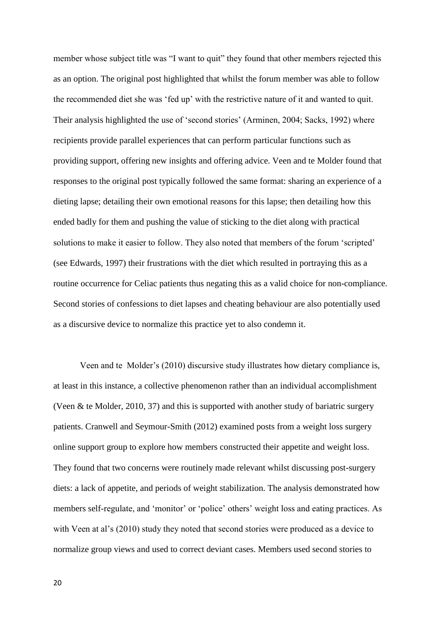member whose subject title was "I want to quit" they found that other members rejected this as an option. The original post highlighted that whilst the forum member was able to follow the recommended diet she was 'fed up' with the restrictive nature of it and wanted to quit. Their analysis highlighted the use of 'second stories' (Arminen, 2004; Sacks, 1992) where recipients provide parallel experiences that can perform particular functions such as providing support, offering new insights and offering advice. Veen and te Molder found that responses to the original post typically followed the same format: sharing an experience of a dieting lapse; detailing their own emotional reasons for this lapse; then detailing how this ended badly for them and pushing the value of sticking to the diet along with practical solutions to make it easier to follow. They also noted that members of the forum 'scripted' (see Edwards, 1997) their frustrations with the diet which resulted in portraying this as a routine occurrence for Celiac patients thus negating this as a valid choice for non-compliance. Second stories of confessions to diet lapses and cheating behaviour are also potentially used as a discursive device to normalize this practice yet to also condemn it.

Veen and te Molder's (2010) discursive study illustrates how dietary compliance is, at least in this instance, a collective phenomenon rather than an individual accomplishment (Veen & te Molder, 2010, 37) and this is supported with another study of bariatric surgery patients. Cranwell and Seymour-Smith (2012) examined posts from a weight loss surgery online support group to explore how members constructed their appetite and weight loss. They found that two concerns were routinely made relevant whilst discussing post-surgery diets: a lack of appetite, and periods of weight stabilization. The analysis demonstrated how members self-regulate, and 'monitor' or 'police' others' weight loss and eating practices. As with Veen at al's (2010) study they noted that second stories were produced as a device to normalize group views and used to correct deviant cases. Members used second stories to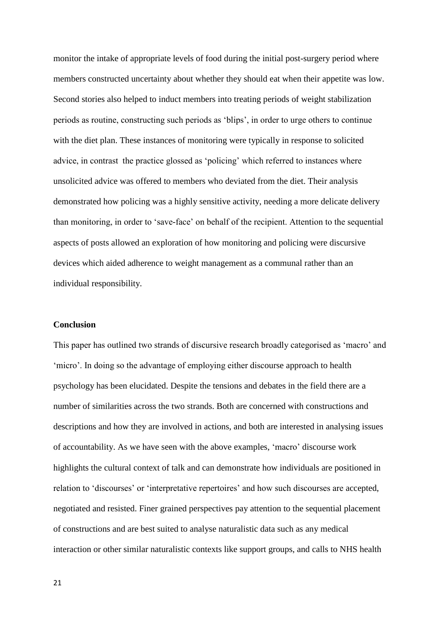monitor the intake of appropriate levels of food during the initial post-surgery period where members constructed uncertainty about whether they should eat when their appetite was low. Second stories also helped to induct members into treating periods of weight stabilization periods as routine, constructing such periods as 'blips', in order to urge others to continue with the diet plan. These instances of monitoring were typically in response to solicited advice, in contrast the practice glossed as 'policing' which referred to instances where unsolicited advice was offered to members who deviated from the diet. Their analysis demonstrated how policing was a highly sensitive activity, needing a more delicate delivery than monitoring, in order to 'save-face' on behalf of the recipient. Attention to the sequential aspects of posts allowed an exploration of how monitoring and policing were discursive devices which aided adherence to weight management as a communal rather than an individual responsibility.

### **Conclusion**

This paper has outlined two strands of discursive research broadly categorised as 'macro' and 'micro'. In doing so the advantage of employing either discourse approach to health psychology has been elucidated. Despite the tensions and debates in the field there are a number of similarities across the two strands. Both are concerned with constructions and descriptions and how they are involved in actions, and both are interested in analysing issues of accountability. As we have seen with the above examples, 'macro' discourse work highlights the cultural context of talk and can demonstrate how individuals are positioned in relation to 'discourses' or 'interpretative repertoires' and how such discourses are accepted, negotiated and resisted. Finer grained perspectives pay attention to the sequential placement of constructions and are best suited to analyse naturalistic data such as any medical interaction or other similar naturalistic contexts like support groups, and calls to NHS health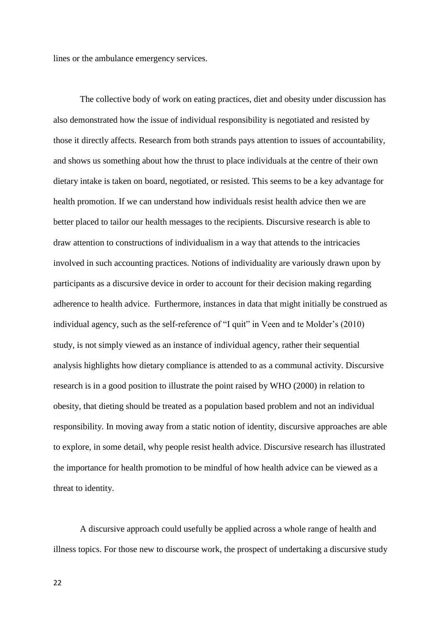lines or the ambulance emergency services.

The collective body of work on eating practices, diet and obesity under discussion has also demonstrated how the issue of individual responsibility is negotiated and resisted by those it directly affects. Research from both strands pays attention to issues of accountability, and shows us something about how the thrust to place individuals at the centre of their own dietary intake is taken on board, negotiated, or resisted. This seems to be a key advantage for health promotion. If we can understand how individuals resist health advice then we are better placed to tailor our health messages to the recipients. Discursive research is able to draw attention to constructions of individualism in a way that attends to the intricacies involved in such accounting practices. Notions of individuality are variously drawn upon by participants as a discursive device in order to account for their decision making regarding adherence to health advice. Furthermore, instances in data that might initially be construed as individual agency, such as the self-reference of "I quit" in Veen and te Molder's (2010) study, is not simply viewed as an instance of individual agency, rather their sequential analysis highlights how dietary compliance is attended to as a communal activity. Discursive research is in a good position to illustrate the point raised by WHO (2000) in relation to obesity, that dieting should be treated as a population based problem and not an individual responsibility. In moving away from a static notion of identity, discursive approaches are able to explore, in some detail, why people resist health advice. Discursive research has illustrated the importance for health promotion to be mindful of how health advice can be viewed as a threat to identity.

A discursive approach could usefully be applied across a whole range of health and illness topics. For those new to discourse work, the prospect of undertaking a discursive study

22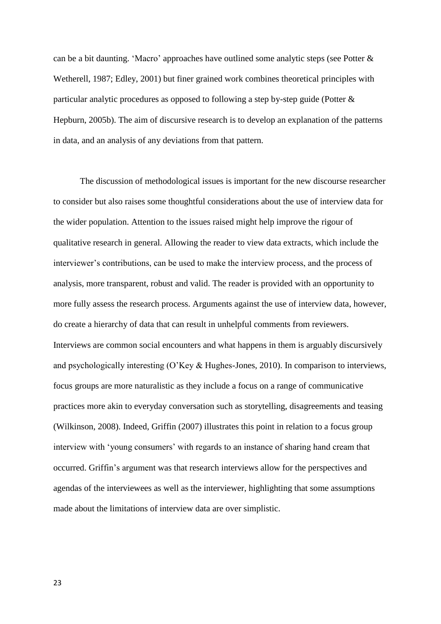can be a bit daunting. 'Macro' approaches have outlined some analytic steps (see Potter & Wetherell, 1987; Edley, 2001) but finer grained work combines theoretical principles with particular analytic procedures as opposed to following a step by-step guide (Potter & Hepburn, 2005b). The aim of discursive research is to develop an explanation of the patterns in data, and an analysis of any deviations from that pattern.

The discussion of methodological issues is important for the new discourse researcher to consider but also raises some thoughtful considerations about the use of interview data for the wider population. Attention to the issues raised might help improve the rigour of qualitative research in general. Allowing the reader to view data extracts, which include the interviewer's contributions, can be used to make the interview process, and the process of analysis, more transparent, robust and valid. The reader is provided with an opportunity to more fully assess the research process. Arguments against the use of interview data, however, do create a hierarchy of data that can result in unhelpful comments from reviewers. Interviews are common social encounters and what happens in them is arguably discursively and psychologically interesting (O'Key & Hughes-Jones, 2010). In comparison to interviews, focus groups are more naturalistic as they include a focus on a range of communicative practices more akin to everyday conversation such as storytelling, disagreements and teasing (Wilkinson, 2008). Indeed, Griffin (2007) illustrates this point in relation to a focus group interview with 'young consumers' with regards to an instance of sharing hand cream that occurred. Griffin's argument was that research interviews allow for the perspectives and agendas of the interviewees as well as the interviewer, highlighting that some assumptions made about the limitations of interview data are over simplistic.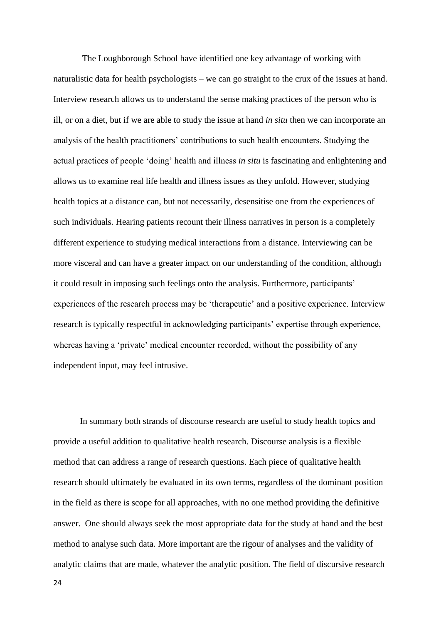The Loughborough School have identified one key advantage of working with naturalistic data for health psychologists – we can go straight to the crux of the issues at hand. Interview research allows us to understand the sense making practices of the person who is ill, or on a diet, but if we are able to study the issue at hand *in situ* then we can incorporate an analysis of the health practitioners' contributions to such health encounters. Studying the actual practices of people 'doing' health and illness *in situ* is fascinating and enlightening and allows us to examine real life health and illness issues as they unfold. However, studying health topics at a distance can, but not necessarily, desensitise one from the experiences of such individuals. Hearing patients recount their illness narratives in person is a completely different experience to studying medical interactions from a distance. Interviewing can be more visceral and can have a greater impact on our understanding of the condition, although it could result in imposing such feelings onto the analysis. Furthermore, participants' experiences of the research process may be 'therapeutic' and a positive experience. Interview research is typically respectful in acknowledging participants' expertise through experience, whereas having a 'private' medical encounter recorded, without the possibility of any independent input, may feel intrusive.

In summary both strands of discourse research are useful to study health topics and provide a useful addition to qualitative health research. Discourse analysis is a flexible method that can address a range of research questions. Each piece of qualitative health research should ultimately be evaluated in its own terms, regardless of the dominant position in the field as there is scope for all approaches, with no one method providing the definitive answer. One should always seek the most appropriate data for the study at hand and the best method to analyse such data. More important are the rigour of analyses and the validity of analytic claims that are made, whatever the analytic position. The field of discursive research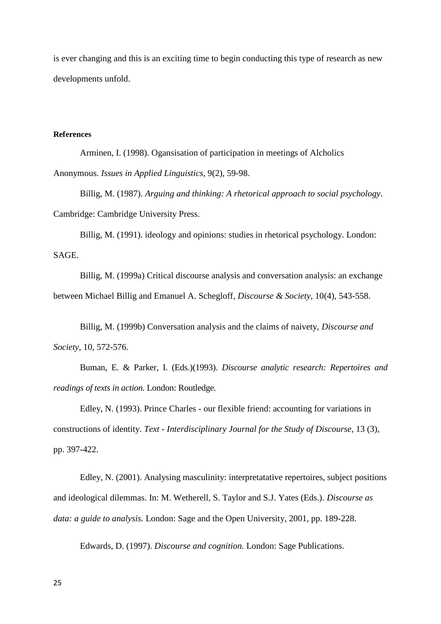is ever changing and this is an exciting time to begin conducting this type of research as new developments unfold.

## **References**

Arminen, I. (1998). Ogansisation of participation in meetings of Alcholics Anonymous. *Issues in Applied Linguistics*, 9(2), 59-98.

Billig, M. (1987). *Arguing and thinking: A rhetorical approach to social psychology*. Cambridge: Cambridge University Press.

Billig, M. (1991). ideology and opinions: studies in rhetorical psychology. London: SAGE.

Billig, M. (1999a) [Critical discourse analysis and conversation analysis: an exchange](http://dx.doi.org/10.1177/0957926599010004005)  [between Michael Billig and Emanuel A. Schegloff,](http://dx.doi.org/10.1177/0957926599010004005) *Discourse & Society*, 10(4), 543-558.

Billig, M. (1999b) Conversation analysis and the claims of naivety, *Discourse and Society*, 10, 572-576.

Buman, E. & Parker, I. (Eds.)(1993). *Discourse analytic research: Repertoires and readings of texts in action.* London: Routledge.

Edley, N. (1993). Prince Charles - our flexible friend: accounting for variations in constructions of identity. *Text - Interdisciplinary Journal for the Study of Discourse*, 13 (3), pp. 397-422.

Edley, N. (2001). Analysing masculinity: interpretatative repertoires, subject positions and ideological dilemmas. In: M. Wetherell, S. Taylor and S.J. Yates (Eds.). *Discourse as data: a guide to analysis.* London: Sage and the Open University, 2001, pp. 189-228.

Edwards, D. (1997). *Discourse and cognition.* London: Sage Publications.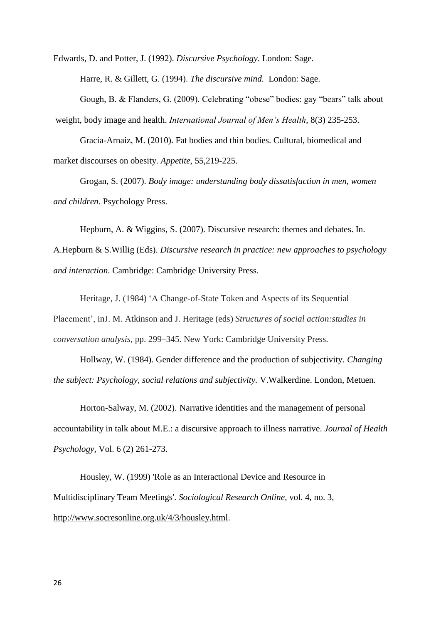Edwards, D. and Potter, J. (1992). *Discursive Psychology*. London: Sage.

Harre, R. & Gillett, G. (1994). *The discursive mind.* London: Sage.

Gough, B. & Flanders, G. (2009). Celebrating "obese" bodies: gay "bears" talk about weight, body image and health. *International Journal of Men's Health*, 8(3) 235-253.

Gracia-Arnaiz, M. (2010). Fat bodies and thin bodies. Cultural, biomedical and market discourses on obesity. *Appetite*, 55,219-225.

Grogan, S. (2007). *Body image: understanding body dissatisfaction in men, women and children*. Psychology Press.

Hepburn, A. & Wiggins, S. (2007). Discursive research: themes and debates. In. A.Hepburn & S.Willig (Eds). *Discursive research in practice: new approaches to psychology and interaction.* Cambridge: Cambridge University Press.

Heritage, J. (1984) 'A Change-of-State Token and Aspects of its Sequential Placement', inJ. M. Atkinson and J. Heritage (eds) *Structures of social action:studies in conversation analysis*, pp. 299–345. New York: Cambridge University Press.

Hollway, W. (1984). Gender difference and the production of subjectivity. *Changing the subject: Psychology, social relations and subjectivity.* V.Walkerdine. London, Metuen.

Horton-Salway, M. (2002). Narrative identities and the management of personal accountability in talk about M.E.: a discursive approach to illness narrative. *Journal of Health Psychology*, Vol. 6 (2) 261-273.

Housley, W. (1999) 'Role as an Interactional Device and Resource in Multidisciplinary Team Meetings'. *Sociological Research Online,* vol. 4, no. 3, [http://www.socresonline.org.uk/4/3/housley.html.](http://www.socresonline.org.uk/4/3/housley.html)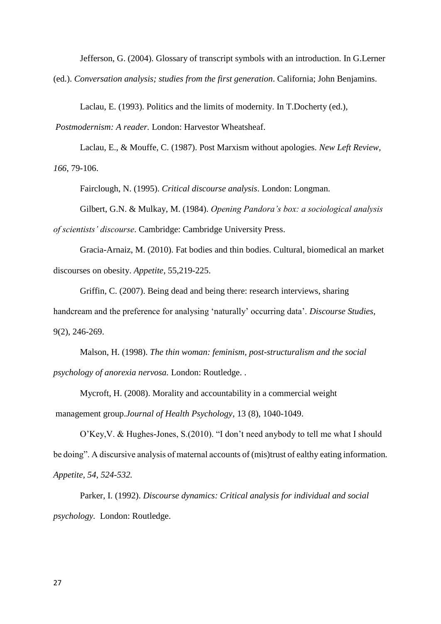Jefferson, G. (2004). Glossary of transcript symbols with an introduction. In G.Lerner

(ed.). *Conversation analysis; studies from the first generation*. California; John Benjamins.

Laclau, E. (1993). Politics and the limits of modernity. In T.Docherty (ed.),

*Postmodernism: A reader.* London: Harvestor Wheatsheaf.

Laclau, E., & Mouffe, C. (1987). Post Marxism without apologies. *New Left Review, 166*, 79-106.

Fairclough, N. (1995). *Critical discourse analysis*. London: Longman.

Gilbert, G.N. & Mulkay, M. (1984). *Opening Pandora's box: a sociological analysis of scientists' discourse*. Cambridge: Cambridge University Press.

Gracia-Arnaiz, M. (2010). Fat bodies and thin bodies. Cultural, biomedical an market discourses on obesity. *Appetite*, 55,219-225.

Griffin, C. (2007). Being dead and being there: research interviews, sharing handcream and the preference for analysing 'naturally' occurring data'. *Discourse Studies*, 9(2), 246-269.

Malson, H. (1998). *The thin woman: feminism, post-structuralism and the social psychology of anorexia nervosa.* London: Routledge. .

Mycroft, H. (2008). Morality and accountability in a commercial weight management group.*Journal of Health Psychology*, 13 (8), 1040-1049.

O'Key,V. & Hughes-Jones, S.(2010). "I don't need anybody to tell me what I should be doing". A discursive analysis of maternal accounts of (mis)trust of ealthy eating information*. Appetite, 54, 524-532.*

Parker, I. (1992). *Discourse dynamics: Critical analysis for individual and social psychology.* London: Routledge.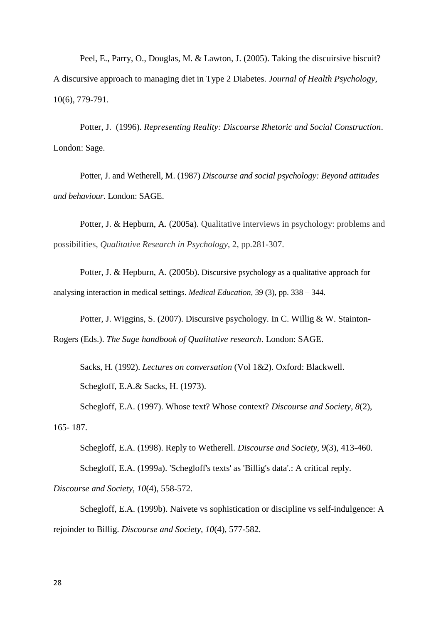Peel, E., Parry, O., Douglas, M. & Lawton, J. (2005). Taking the discuirsive biscuit? A discursive approach to managing diet in Type 2 Diabetes. *Journal of Health Psychology*, 10(6), 779-791.

Potter, J. (1996). *Representing Reality: Discourse Rhetoric and Social Construction*. London: Sage.

Potter, J. and Wetherell, M. (1987) *Discourse and social psychology: Beyond attitudes and behaviour.* London: SAGE.

Potter, J. & Hepburn, A. (2005a). Qualitative interviews in psychology: problems and possibilities, *Qualitative Research in Psychology*, 2, pp.281-307.

Potter, J. & Hepburn, A. (2005b). Discursive psychology as a qualitative approach for analysing interaction in medical settings. *Medical Education*, 39 (3), pp. 338 – 344.

Potter, J. Wiggins, S. (2007). Discursive psychology. In C. Willig & W. Stainton-Rogers (Eds.). *The Sage handbook of Qualitative research*. London: SAGE.

Sacks, H. (1992). *Lectures on conversation* (Vol 1&2). Oxford: Blackwell. Schegloff, E.A.& Sacks, H. (1973).

Schegloff, E.A. (1997). Whose text? Whose context? *Discourse and Society, 8*(2), 165- 187.

Schegloff, E.A. (1998). Reply to Wetherell. *Discourse and Society, 9*(3), 413-460.

Schegloff, E.A. (1999a). 'Schegloff's texts' as 'Billig's data'.: A critical reply.

*Discourse and Society, 10*(4), 558-572.

Schegloff, E.A. (1999b). Naivete vs sophistication or discipline vs self-indulgence: A rejoinder to Billig. *Discourse and Society, 10*(4), 577-582.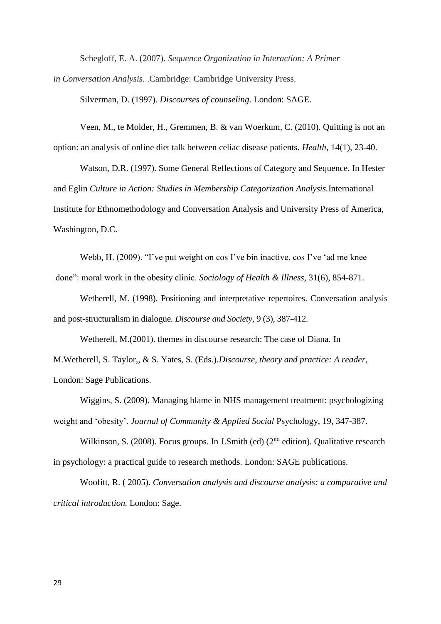Schegloff, E. A. (2007). *Sequence Organization in Interaction: A Primer*

*in Conversation Analysis.* .Cambridge: Cambridge University Press.

Silverman, D. (1997). *Discourses of counseling*. London: SAGE.

Veen, M., te Molder, H., Gremmen, B. & van Woerkum, C. (2010). Quitting is not an option: an analysis of online diet talk between celiac disease patients*. Health*, 14(1), 23-40.

Watson, D.R. (1997). Some General Reflections of Category and Sequence. In Hester and Eglin *Culture in Action: Studies in Membership Categorization Analysis.*International Institute for Ethnomethodology and Conversation Analysis and University Press of America, Washington, D.C.

Webb, H. (2009). "I've put weight on cos I've bin inactive, cos I've 'ad me knee done": moral work in the obesity clinic. *Sociology of Health & Illness*, 31(6), 854-871.

Wetherell, M. (1998). Positioning and interpretative repertoires. Conversation analysis and post-structuralism in dialogue. *Discourse and Society*, 9 (3), 387-412.

Wetherell, M.(2001). themes in discourse research: The case of Diana. In M.Wetherell, S. Taylor,, & S. Yates, S. (Eds.).*Discourse, theory and practice: A reader,* London: Sage Publications.

Wiggins, S. (2009). Managing blame in NHS management treatment: psychologizing weight and 'obesity'. *Journal of Community & Applied Social* Psychology, 19, 347-387.

Wilkinson, S. (2008). Focus groups. In J.Smith (ed)  $(2^{nd}$  edition). Qualitative research in psychology: a practical guide to research methods. London: SAGE publications.

Woofitt, R. ( 2005). *Conversation analysis and discourse analysis: a comparative and critical introduction.* London: Sage.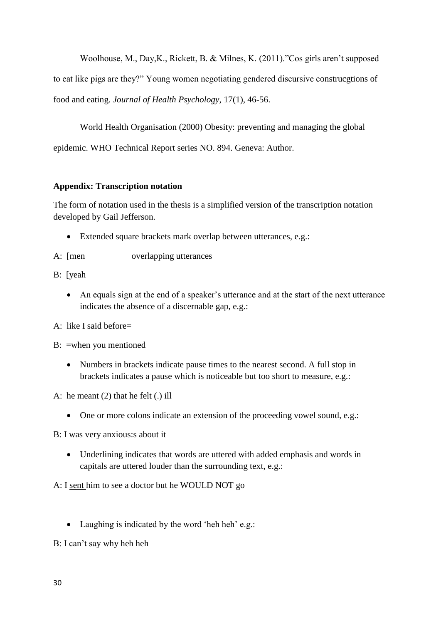Woolhouse, M., Day,K., Rickett, B. & Milnes, K. (2011)."Cos girls aren't supposed to eat like pigs are they?" Young women negotiating gendered discursive construcgtions of food and eating. *Journal of Health Psychology*, 17(1), 46-56.

World Health Organisation (2000) Obesity: preventing and managing the global epidemic. WHO Technical Report series NO. 894. Geneva: Author.

# **Appendix: Transcription notation**

The form of notation used in the thesis is a simplified version of the transcription notation developed by Gail Jefferson.

- Extended square brackets mark overlap between utterances, e.g.:
- A: [men overlapping utterances
- B: [yeah
	- An equals sign at the end of a speaker's utterance and at the start of the next utterance indicates the absence of a discernable gap, e.g.:
- A: like I said before=
- B: =when you mentioned
	- Numbers in brackets indicate pause times to the nearest second. A full stop in brackets indicates a pause which is noticeable but too short to measure, e.g.:
- A: he meant (2) that he felt (.) ill
	- One or more colons indicate an extension of the proceeding vowel sound, e.g.:

B: I was very anxious:s about it

 Underlining indicates that words are uttered with added emphasis and words in capitals are uttered louder than the surrounding text, e.g.:

A: I sent him to see a doctor but he WOULD NOT go

• Laughing is indicated by the word 'heh heh' e.g.:

B: I can't say why heh heh